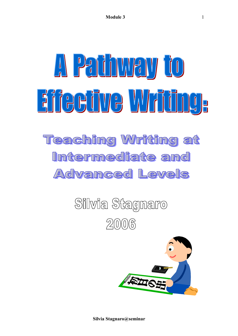# A Pathway to Eifeeüve Wriüng, **Teaching Writing at** Intermediate and AC Vanced Levels

## Silvia Stagnaro  $20006$



**Silvia Stagnaro@seminar**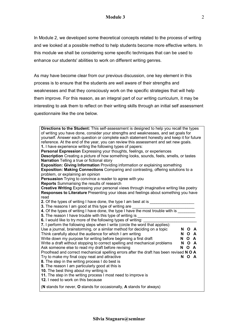#### **Module 3**

In Module 2, we developed some theoretical concepts related to the process of writing and we looked at a possible method to help students become more effective writers. In this module we shall be considering some specific techniques that can be used to enhance our students' abilities to work on different writing genres.

As may have become clear from our previous discussion, one key element in this process is to ensure that the students are well aware of their strengths and weaknesses and that they consciously work on the specific strategies that will help them improve. For this reason, as an integral part of our writing curriculum, it may be interesting to ask them to reflect on their writing skills through an initial self assessment questionnaire like the one below.

| Directions to the Student: This self-assessment is designed to help you recall the types<br>of writing you have done, consider your strengths and weaknesses, and set goals for<br>yourself. Answer each question or complete each statement honestly and keep it for future<br>reference. At the end of the year, you can review this assessment and set new goals.<br>1. I have experience writing the following types of papers:<br>Personal Expression Expressing your thoughts, feelings, or experiences<br><b>Description</b> Creating a picture of how something looks, sounds, feels, smells, or tastes<br><b>Narration</b> Telling a true or fictional story<br><b>Exposition: Giving Information Providing information or explaining something</b><br><b>Exposition: Making Connections</b> Comparing and contrasting, offering solutions to a<br>problem, or explaining an opinion<br>Persuasion Trying to convince a reader to agree with you<br><b>Reports</b> Summarising the results of research<br>Creative Writing Expressing your personal views through imaginative writing like poetry<br>Responses to Literature Presenting your ideas and feelings about something you have<br>read<br>2. Of the types of writing I have done, the type I am best at is<br>3. The reasons I am good at this type of writing are _____<br>4. Of the types of writing I have done, the type I have the most trouble with is<br>5. The reason I have trouble with this type of writing is<br>6. I would like to try more of the following types of writing:<br>7. I perform the following steps when I write (circle the word that applies): |       |  |
|-------------------------------------------------------------------------------------------------------------------------------------------------------------------------------------------------------------------------------------------------------------------------------------------------------------------------------------------------------------------------------------------------------------------------------------------------------------------------------------------------------------------------------------------------------------------------------------------------------------------------------------------------------------------------------------------------------------------------------------------------------------------------------------------------------------------------------------------------------------------------------------------------------------------------------------------------------------------------------------------------------------------------------------------------------------------------------------------------------------------------------------------------------------------------------------------------------------------------------------------------------------------------------------------------------------------------------------------------------------------------------------------------------------------------------------------------------------------------------------------------------------------------------------------------------------------------------------------------------------------------------------------------|-------|--|
| Use a journal, brainstorming, or a similar method for deciding on a topic                                                                                                                                                                                                                                                                                                                                                                                                                                                                                                                                                                                                                                                                                                                                                                                                                                                                                                                                                                                                                                                                                                                                                                                                                                                                                                                                                                                                                                                                                                                                                                       | N O A |  |
| Think carefully about the audience for which I am writing                                                                                                                                                                                                                                                                                                                                                                                                                                                                                                                                                                                                                                                                                                                                                                                                                                                                                                                                                                                                                                                                                                                                                                                                                                                                                                                                                                                                                                                                                                                                                                                       | N O A |  |
| Write down my purpose for writing before beginning a first draft                                                                                                                                                                                                                                                                                                                                                                                                                                                                                                                                                                                                                                                                                                                                                                                                                                                                                                                                                                                                                                                                                                                                                                                                                                                                                                                                                                                                                                                                                                                                                                                | N O A |  |
| Write a draft without stopping to correct spelling and mechanical problems                                                                                                                                                                                                                                                                                                                                                                                                                                                                                                                                                                                                                                                                                                                                                                                                                                                                                                                                                                                                                                                                                                                                                                                                                                                                                                                                                                                                                                                                                                                                                                      | N O A |  |
| Ask someone else to read my draft before revising                                                                                                                                                                                                                                                                                                                                                                                                                                                                                                                                                                                                                                                                                                                                                                                                                                                                                                                                                                                                                                                                                                                                                                                                                                                                                                                                                                                                                                                                                                                                                                                               | N O A |  |
| Proofread and correct mechanical spelling errors after the draft has been revised N O A                                                                                                                                                                                                                                                                                                                                                                                                                                                                                                                                                                                                                                                                                                                                                                                                                                                                                                                                                                                                                                                                                                                                                                                                                                                                                                                                                                                                                                                                                                                                                         |       |  |
| Try to make my final copy neat and attractive<br>8. The step in the writing process I do best is<br>9. The reason I am particularly good at this is<br>10. The best thing about my writing is<br>11. The step in the writing process I most need to improve is<br>12. I need to work on this because                                                                                                                                                                                                                                                                                                                                                                                                                                                                                                                                                                                                                                                                                                                                                                                                                                                                                                                                                                                                                                                                                                                                                                                                                                                                                                                                            | N O A |  |
| (N stands for never, O stands for occasionally, A stands for always)                                                                                                                                                                                                                                                                                                                                                                                                                                                                                                                                                                                                                                                                                                                                                                                                                                                                                                                                                                                                                                                                                                                                                                                                                                                                                                                                                                                                                                                                                                                                                                            |       |  |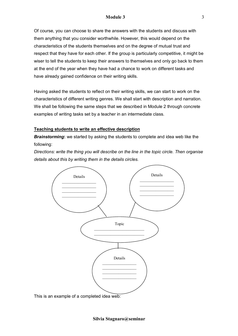#### **Module 3**

Of course, you can choose to share the answers with the students and discuss with them anything that you consider worthwhile. However, this would depend on the characteristics of the students themselves and on the degree of mutual trust and respect that they have for each other. If the group is particularly competitive, it might be wiser to tell the students to keep their answers to themselves and only go back to them at the end of the year when they have had a chance to work on different tasks and have already gained confidence on their writing skills.

Having asked the students to reflect on their writing skills, we can start to work on the characteristics of different writing genres. We shall start with description and narration. We shall be following the same steps that we described in Module 2 through concrete examples of writing tasks set by a teacher in an intermediate class.

#### **Teaching students to write an effective description**

*Brainstorming***:** we started by asking the students to complete and idea web like the following:

*Directions: write the thing you will describe on the line in the topic circle. Then organise details about this by writing them in the details circles.* 

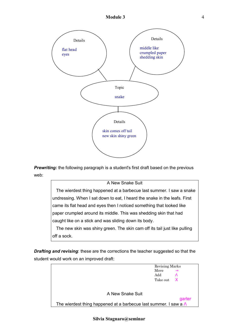

**Prewriting:** the following paragraph is a student's first draft based on the previous web:

#### A New Snake Suit

 The wierdest thing happened at a barbecue last summer. I saw a snake undressing. When I sat down to eat, I heard the snake in the leafs. First came its flat head and eyes then I noticed something that looked like paper crumpled around its middle. This was shedding skin that had caught like on a stick and was sliding down its body. The new skin was shiny green. The skin cam off its tail just like pulling off a sock.

*Drafting and revising*: these are the corrections the teacher suggested so that the student would work on an improved draft:



**Silvia Stagnaro@seminar**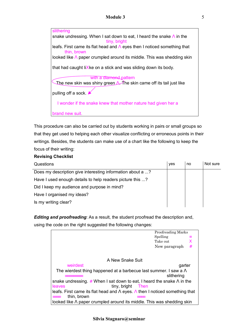slithering snake undressing. When I sat down to eat, I heard the snake  $\Lambda$  in the tiny, bright leafs. First came its flat head and Λ eyes then I noticed something that thin, brown looked like Λ paper crumpled around its middle. This was shedding skin that had caught liXke on a stick and was sliding down its body. with a diamond pattern The new skin was shiny green A. The skin came off its tail just like pulling off a sock. I wonder if the snake knew that mother nature had given her a brand new suit.

This procedure can also be carried out by students working in pairs or small groups so that they get used to helping each other visualize conflicting or erroneous points in their writings. Besides, the students can make use of a chart like the following to keep the focus of their writing:

#### **Revising Checklist**

| Questions                                                  | yes | no | Not sure |
|------------------------------------------------------------|-----|----|----------|
| Does my description give interesting information about a ? |     |    |          |
| Have I used enough details to help readers picture this ?  |     |    |          |
| Did I keep my audience and purpose in mind?                |     |    |          |
| Have I organised my ideas?                                 |     |    |          |
| Is my writing clear?                                       |     |    |          |

*Editing and proofreading*: As a result, the student proofread the description and, using the code on the right suggested the following changes:

|                                                                                             | Proofreading Marks |   |
|---------------------------------------------------------------------------------------------|--------------------|---|
|                                                                                             | Spelling           | ≡ |
|                                                                                             | Take out           | X |
|                                                                                             | New paragraph      | # |
|                                                                                             |                    |   |
| A New Snake Suit                                                                            |                    |   |
| weirdest                                                                                    | garter             |   |
| The wierdest thing happened at a barbecue last summer. I saw a $\Lambda$                    |                    |   |
|                                                                                             | slithering         |   |
| snake undressing. # When I sat down to eat, I heard the snake $\Lambda$ in the              |                    |   |
| tiny, bright Then<br>leaves                                                                 |                    |   |
| leafs. First came its flat head and $\Lambda$ eyes. $\Lambda$ then I noticed something that |                    |   |
| thin, brown                                                                                 |                    |   |
| looked like $\Lambda$ paper crumpled around its middle. This was shedding skin              |                    |   |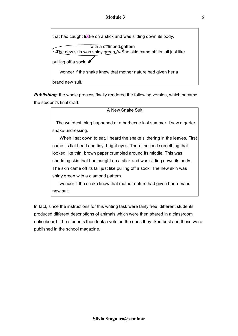

**Publishing:** the whole process finally rendered the following version, which became the student's final draft:

| A New Snake Suit                                                          |
|---------------------------------------------------------------------------|
| The weirdest thing happened at a barbecue last summer. I saw a garter     |
| snake undressing.                                                         |
| When I sat down to eat, I heard the snake slithering in the leaves. First |
| came its flat head and tiny, bright eyes. Then I noticed something that   |
| looked like thin, brown paper crumpled around its middle. This was        |
| shedding skin that had caught on a stick and was sliding down its body.   |
| The skin came off its tail just like pulling off a sock. The new skin was |
| shiny green with a diamond pattern.                                       |
| I wonder if the snake knew that mother nature had given her a brand       |
| new suit.                                                                 |

In fact, since the instructions for this writing task were fairly free, different students produced different descriptions of animals which were then shared in a classroom noticeboard. The students then took a vote on the ones they liked best and these were published in the school magazine.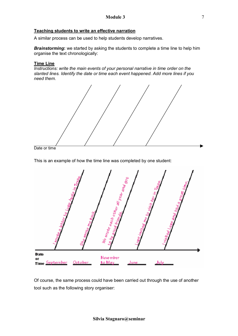#### **Teaching students to write an effective narration**

A similar process can be used to help students develop narratives.

*Brainstorming***:** we started by asking the students to complete a time line to help him organise the text chronologically:

#### **Time Line**

*Instructions: write the main events of your personal narrative in time order on the slanted lines. Identify the date or time each event happened. Add more lines if you need them.* 



Date or time

This is an example of how the time line was completed by one student:



Of course, the same process could have been carried out through the use of another tool such as the following story organiser: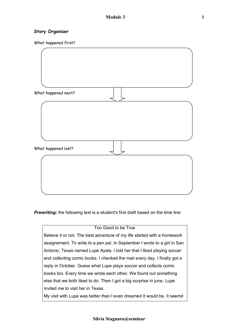#### **Story Organiser**

What happened first?



**Prewriting:** the following text is a student's first draft based on the time line:

### Too Good to be True Believe it or not. The best adventure of my life started with a homework assignement. To write to a pen pal. In September I wrote to a girl in San Antonio, Texas named Lupe Ayala. I told her that I liked playing soccer and collecting comic books. I checked the mail every day. I finally got a reply in October. Guess what Lupe plays soccer and collects comic books too. Every time we wrote each other. We found out something else that we both liked to do. Then I got a big surprise in june. Lupe invited me to visit her in Texas. My visit with Lupe was better than I even dreamed it would be. It seemd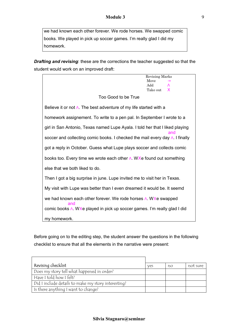we had known each other forever. We rode horses. We swapped comic books. We played in pick up soccer games. I'm really glad I did my homework.

*Drafting and revising*: these are the corrections the teacher suggested so that the student would work on an improved draft:

|                                                                                    | Revising Marks   |
|------------------------------------------------------------------------------------|------------------|
|                                                                                    | Move             |
|                                                                                    | Add<br>$\Lambda$ |
|                                                                                    | Take out<br>X    |
| Too Good to be True                                                                |                  |
| Believe it or not $\Lambda$ . The best adventure of my life started with a         |                  |
| homework assignement. To write to a pen pal. In September I wrote to a             |                  |
| girl in San Antonio, Texas named Lupe Ayala. I told her that I liked playing       | and              |
| soccer and collecting comic books. I checked the mail every day A. I finally       |                  |
| got a reply in October. Guess what Lupe plays soccer and collects comic            |                  |
| books too. Every time we wrote each other $\Lambda$ . WXe found out something      |                  |
| else that we both liked to do.                                                     |                  |
| Then I got a big surprise in june. Lupe invited me to visit her in Texas.          |                  |
| My visit with Lupe was better than I even dreamed it would be. It seemd            |                  |
| we had known each other forever. We rode horses $\Lambda$ . WXe swapped<br>and     |                  |
| comic books $\Lambda$ . Wise played in pick up soccer games. I'm really glad I did |                  |
| my homework.                                                                       |                  |

Before going on to the editing step, the student answer the questions in the following checklist to ensure that all the elements in the narrative were present:

| Revising checklist                                  | ves | no | not sure |
|-----------------------------------------------------|-----|----|----------|
| Does my story tell what happened in order?          |     |    |          |
| Have I told how I felt?                             |     |    |          |
| Did I include details to make my story interesting? |     |    |          |
| Is there anything I want to change?                 |     |    |          |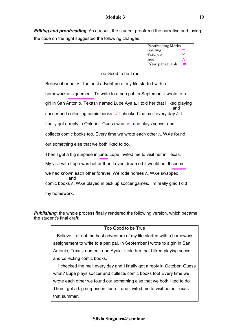#### **Module 3**

*Editing and proofreading*: As a result, the student proofread the narrative and, using the code on the right suggested the following changes:

|                                                                                   | Proofreading Marks   |
|-----------------------------------------------------------------------------------|----------------------|
|                                                                                   | Spelling<br>≡        |
|                                                                                   | Take out<br>X<br>Add |
|                                                                                   | $\Lambda$            |
|                                                                                   | New paragraph<br>#   |
| Too Good to be True                                                               |                      |
| Believe it or not $\Lambda$ . The best adventure of my life started with a        |                      |
| homework assignement. To write to a pen pal. In September I wrote to a            |                      |
| girl in San Antonio, Texas∆ named Lupe Ayala. I told her that I liked playing     | and                  |
| soccer and collecting comic books. $#$ I checked the mail every day $\Lambda$ . I |                      |
| finally got a reply in October. Guess what $\Lambda$ Lupe plays soccer and        |                      |
| collects comic books too. Every time we wrote each other A. WXe found             |                      |
| out something else that we both liked to do.                                      |                      |
| Then I got a big surprise in june. Lupe invited me to visit her in Texas.         |                      |
| My visit with Lupe was better than I even dreamed it would be. It seemd           |                      |
| We had known each other forever. We rode horses A. WXe swapped<br>and             |                      |
| comic books A. WXe played in pick up soccer games. I'm really glad I did          |                      |
| my homework.                                                                      |                      |

**Publishing**: the whole process finally rendered the following version, which became the student's final draft:

#### Too Good to be True

 Believe it or not the best adventure of my life started with a homework assignement to write to a pen pal. In September I wrote to a girl in San Antonio, Texas, named Lupe Ayala. I told her that I liked playing soccer and collecting comic books.

 I checked the mail every day and I finally got a reply in October. Guess what? Lupe plays soccer and collects comic books too! Every time we wrote each other we found out something else that we both liked to do. Then I got a big surprise in June. Lupe invited me to visit her in Texas that summer.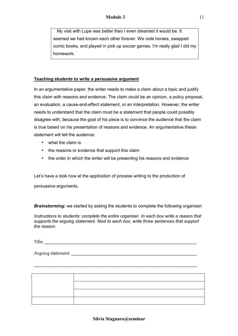My visit with Lupe was better than I even dreamed it would be. It seemed we had known each other forever. We rode horses, swapped comic books, and played in pick up soccer games. I'm really glad I did my homework.

#### **Teaching students to write a persuasive argument**

In an argumentative paper, the writer needs to make a claim about a topic and justify this claim with reasons and evidence. The claim could be an opinion, a policy proposal, an evaluation, a cause-and-effect statement, or an interpretation. However, the writer needs to understand that the claim must be a statement that people could possibly disagree with, because the goal of his piece is to convince the audience that the claim is true based on his presentation of reasons and evidence. An argumentative thesis statement will tell the audience:

- what the claim is
- the reasons or evidence that support this claim
- the order in which the writer will be presenting his reasons and evidence

Let's have a look now at the application of process writing to the production of

persuasive arguments.

*Brainstorming***:** we started by asking the students to complete the following organiser:

*Instructions to students: complete the entire organiser. In each box write a reason that supports the arguing statement. Next to each box, write three sentences that support the reason.* 

 $\blacksquare$  Title:

Arquing statement:

\_\_\_\_\_\_\_\_\_\_\_\_\_\_\_\_\_\_\_\_\_\_\_\_\_\_\_\_\_\_\_\_\_\_\_\_\_\_\_\_\_\_\_\_\_\_\_\_\_\_\_\_\_\_\_\_\_\_\_\_\_\_\_\_\_\_\_\_\_\_\_\_\_\_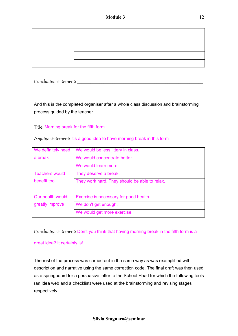Concluding statement: \_\_\_\_\_\_\_\_\_\_\_\_\_\_\_\_\_\_\_\_\_\_\_\_\_\_\_\_\_\_\_\_\_\_\_\_\_\_\_\_\_\_\_\_\_\_\_\_\_\_\_\_\_\_\_\_\_

And this is the completed organiser after a whole class discussion and brainstorming process guided by the teacher.

\_\_\_\_\_\_\_\_\_\_\_\_\_\_\_\_\_\_\_\_\_\_\_\_\_\_\_\_\_\_\_\_\_\_\_\_\_\_\_\_\_\_\_\_\_\_\_\_\_\_\_\_\_\_\_\_\_\_\_\_\_\_\_\_\_\_\_\_\_\_\_\_\_\_\_\_\_

#### Title: Morning break for the fifth form

#### Arguing statement: It's a good idea to have morning break in this form

| We definitely need    | We would be less jittery in class.            |
|-----------------------|-----------------------------------------------|
| a break               | We would concentrate better.                  |
|                       | We would learn more.                          |
| <b>Teachers would</b> | They deserve a break.                         |
| benefit too.          | They work hard. They should be able to relax. |
|                       |                                               |
| Our health would      | Exercise is necessary for good health.        |
| greatly improve       | We don't get enough.                          |
|                       | We would get more exercise.                   |

#### Concluding statement: Don't you think that having morning break in the fifth form is a

#### great idea? It certainly is!

The rest of the process was carried out in the same way as was exemplified with description and narrative using the same correction code. The final draft was then used as a springboard for a persuasive letter to the School Head for which the following tools (an idea web and a checklist) were used at the brainstorming and revising stages respectively: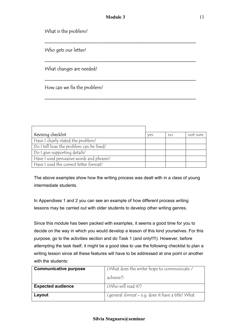\_\_\_\_\_\_\_\_\_\_\_\_\_\_\_\_\_\_\_\_\_\_\_\_\_\_\_\_\_\_\_\_\_\_\_\_\_\_\_\_\_\_\_\_\_\_\_\_\_\_\_\_\_\_\_\_\_\_\_\_\_\_\_

\_\_\_\_\_\_\_\_\_\_\_\_\_\_\_\_\_\_\_\_\_\_\_\_\_\_\_\_\_\_\_\_\_\_\_\_\_\_\_\_\_\_\_\_\_\_\_\_\_\_\_\_\_\_\_\_\_\_\_\_\_\_\_

\_\_\_\_\_\_\_\_\_\_\_\_\_\_\_\_\_\_\_\_\_\_\_\_\_\_\_\_\_\_\_\_\_\_\_\_\_\_\_\_\_\_\_\_\_\_\_\_\_\_\_\_\_\_\_\_\_\_\_\_\_\_\_

\_\_\_\_\_\_\_\_\_\_\_\_\_\_\_\_\_\_\_\_\_\_\_\_\_\_\_\_\_\_\_\_\_\_\_\_\_\_\_\_\_\_\_\_\_\_\_\_\_\_\_\_\_\_\_\_\_\_\_\_\_\_\_

What is the problem?

Who gets our letter?

What changes are needed?

How can we fix the problem?

| Revising checklist                        | ves | no | not sure |
|-------------------------------------------|-----|----|----------|
| Have I clearly stated the problem?        |     |    |          |
| Do I tell how the problem can be fixed?   |     |    |          |
| Do I give supporting details?             |     |    |          |
| Have I used persuasive words and phrases? |     |    |          |
| Have I used the correct letter format?    |     |    |          |

The above examples show how the writing process was dealt with in a class of young intermediate students.

In Appendixes 1 and 2 you can see an example of how different process writing lessons may be carried out with older students to develop other writing genres.

Since this module has been packed with examples, it seems a good time for you to decide on the way in which you would develop a lesson of this kind yourselves. For this purpose, go to the activities section and do Task 1 (and only!!!!). However, before attempting the task itself, it might be a good idea to use the following checklist to plan a writing lesson since all these features will have to be addressed at one point or another with the students:

| <b>Communicative purpose</b> | (What does the writer hope to communicate /              |
|------------------------------|----------------------------------------------------------|
|                              | achieve?)                                                |
| <b>Expected audience</b>     | (Who will read it?)                                      |
| Layout                       | (general <i>format</i> – e.g. does it have a title? What |